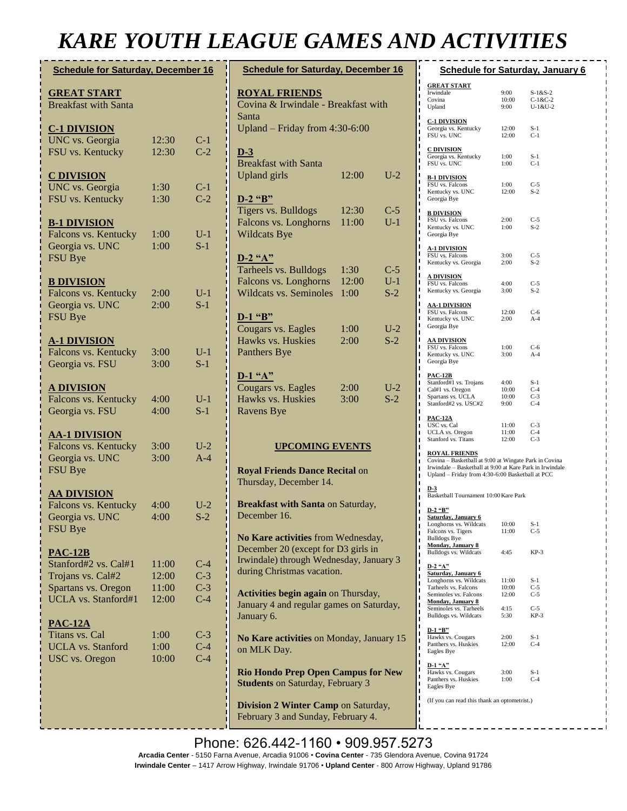# *KARE YOUTH LEAGUE GAMES AND ACTIVITIES*

| <b>Schedule for Saturday, December 16</b>                                                                        |                                  |                                  |                                              |  |
|------------------------------------------------------------------------------------------------------------------|----------------------------------|----------------------------------|----------------------------------------------|--|
| <b>GREAT START</b><br><b>Breakfast with Santa</b>                                                                |                                  |                                  |                                              |  |
| <b>C-1 DIVISION</b><br><b>UNC</b> vs. Georgia<br>FSU vs. Kentucky                                                | 12:30<br>12:30                   | $C-1$<br>$C-2$                   |                                              |  |
| <b>C DIVISION</b><br><b>UNC</b> vs. Georgia<br>FSU vs. Kentucky                                                  | 1:30<br>1:30                     | $C-1$<br>$C-2$                   |                                              |  |
| <b>B-1 DIVISION</b><br>Falcons vs. Kentucky<br>Georgia vs. UNC<br>FSU Bye                                        | 1:00<br>1:00                     | $U-1$<br>$S-1$                   |                                              |  |
| <b>B DIVISION</b><br>Falcons vs. Kentucky<br>Georgia vs. UNC<br><b>FSU Bye</b>                                   | 2:00<br>2:00                     | $U-1$<br>$S-1$                   |                                              |  |
| <b>A-1 DIVISION</b><br>Falcons vs. Kentucky<br>Georgia vs. FSU                                                   | 3:00<br>3:00                     | $U-1$<br>$S-1$                   |                                              |  |
| <b>A DIVISION</b><br>Falcons vs. Kentucky<br>Georgia vs. FSU                                                     | 4:00<br>4:00                     | $U-1$<br>$S-1$                   |                                              |  |
| <u>AA-1 DIVISION</u><br>Falcons vs. Kentucky<br>Georgia vs. UNC<br>FSU Bye                                       | 3:00<br>3:00                     | $U-2$<br>$A-4$                   |                                              |  |
| <u>AA DIVISION</u><br>Falcons vs. Kentucky<br>Georgia vs. UNC<br><b>FSU Bye</b>                                  | 4:00<br>4:00                     | $U-2$<br>$S-2$                   | Į                                            |  |
| <b>PAC-12B</b><br>Stanford#2 vs. Cal#1<br>Trojans vs. Cal#2<br>Spartans vs. Oregon<br><b>UCLA</b> vs. Stanford#1 | 11:00<br>12:00<br>11:00<br>12:00 | $C-4$<br>$C-3$<br>$C-3$<br>$C-4$ | I                                            |  |
| <b>PAC-12A</b><br>Titans vs. Cal<br><b>UCLA</b> vs. Stanford<br><b>USC</b> vs. Oregon                            | 1:00<br>1:00<br>10:00            | $C-3$<br>$C-4$<br>$C-4$          | .<br>.<br>.<br>Į<br>$\overline{\phantom{a}}$ |  |
|                                                                                                                  |                                  |                                  |                                              |  |

| <b>Schedule for Saturday, December 16</b>                                                                                                          |                       |                         |  |  |
|----------------------------------------------------------------------------------------------------------------------------------------------------|-----------------------|-------------------------|--|--|
| <b>ROYAL FRIENDS</b><br>Covina & Irwindale - Breakfast with<br>Santa<br>Upland – Friday from $4:30-6:00$                                           |                       |                         |  |  |
| <u>D-3</u><br><b>Breakfast with Santa</b><br><b>Upland</b> girls                                                                                   | 12:00                 | $U-2$                   |  |  |
| $D-2$ "B"<br>Tigers vs. Bulldogs<br>Falcons vs. Longhorns<br><b>Wildcats Bye</b>                                                                   | 12:30<br>11:00        | $C-5$<br>$U-1$          |  |  |
| $D-2$ "A"<br>Tarheels vs. Bulldogs<br>Falcons vs. Longhorns<br><b>Wildcats vs. Seminoles</b>                                                       | 1:30<br>12:00<br>1:00 | $C-5$<br>$U-1$<br>$S-2$ |  |  |
| $D-1$ "B"<br>Cougars vs. Eagles<br>Hawks vs. Huskies<br>Panthers Bye                                                                               | 1:00<br>2:00          | $U-2$<br>$S-2$          |  |  |
| D-1 "A"<br><b>Cougars vs. Eagles</b><br>Hawks vs. Huskies<br>Ravens Bye                                                                            | 2:00<br>3:00          | $U-2$<br>$S-2$          |  |  |
| <b>UPCOMING EVENTS</b>                                                                                                                             |                       |                         |  |  |
| <b>Royal Friends Dance Recital on</b><br>Thursday, December 14.                                                                                    |                       |                         |  |  |
| Breakfast with Santa on Saturday,<br>December 16.                                                                                                  |                       |                         |  |  |
| No Kare activities from Wednesday,<br>December 20 (except for D3 girls in<br>Irwindale) through Wednesday, January 3<br>during Christmas vacation. |                       |                         |  |  |
| Activities begin again on Thursday,<br>January 4 and regular games on Saturday,<br>January 6.                                                      |                       |                         |  |  |
| No Kare activities on Monday, January 15<br>on MLK Day.                                                                                            |                       |                         |  |  |
| <b>Rio Hondo Prep Open Campus for New</b><br><b>Students on Saturday, February 3</b>                                                               |                       |                         |  |  |
| Division 2 Winter Camp on Saturday,<br>February 3 and Sunday, February 4.                                                                          |                       |                         |  |  |

| <b>Schedule for Saturday, January 6</b>                                                                      |                |                        |  |  |  |
|--------------------------------------------------------------------------------------------------------------|----------------|------------------------|--|--|--|
|                                                                                                              |                |                        |  |  |  |
| <b>GREAT START</b>                                                                                           |                |                        |  |  |  |
| Irwindale<br>Covina                                                                                          | 9:00<br>10:00  | $S-1&S-2$<br>$C-1&C-2$ |  |  |  |
| Upland                                                                                                       | 9:00           | $U-1&U-2$              |  |  |  |
|                                                                                                              |                |                        |  |  |  |
| <u>C-1 DIVISION</u>                                                                                          |                |                        |  |  |  |
| Georgia vs. Kentucky<br>FSU vs. UNC                                                                          | 12:00<br>12:00 | $S-1$<br>$C-1$         |  |  |  |
|                                                                                                              |                |                        |  |  |  |
| <u>C DIVISION</u>                                                                                            |                |                        |  |  |  |
| Georgia vs. Kentucky                                                                                         | 1:00           | $S-1$<br>$C-1$         |  |  |  |
| FSU vs. UNC                                                                                                  | 1:00           |                        |  |  |  |
| <u>B-1 DIVISION</u>                                                                                          |                |                        |  |  |  |
| FSU vs. Falcons                                                                                              | 1:00           | $C-5$                  |  |  |  |
| Kentucky vs. UNC                                                                                             | 12:00          | $S-2$                  |  |  |  |
| Georgia Bye                                                                                                  |                |                        |  |  |  |
| <b>B DIVISION</b>                                                                                            |                |                        |  |  |  |
| FSU vs. Falcons                                                                                              | 2:00           | $C-5$                  |  |  |  |
| Kentucky vs. UNC                                                                                             | 1:00           | $S-2$                  |  |  |  |
| Georgia Bye                                                                                                  |                |                        |  |  |  |
| <u>A-1 DIVISION</u>                                                                                          |                |                        |  |  |  |
| FSU vs. Falcons                                                                                              | 3:00           | $C-5$                  |  |  |  |
| Kentucky vs. Georgia                                                                                         | 2:00           | $S-2$                  |  |  |  |
|                                                                                                              |                |                        |  |  |  |
| A DIVISION<br>FSU vs. Falcons                                                                                | 4:00           | $C-5$                  |  |  |  |
| Kentucky vs. Georgia                                                                                         | 3:00           | $S-2$                  |  |  |  |
|                                                                                                              |                |                        |  |  |  |
| <u>AA-1 DIVISION</u>                                                                                         |                |                        |  |  |  |
| FSU vs. Falcons<br>Kentucky vs. UNC                                                                          | 12:00<br>2:00  | $C-6$<br>$A-4$         |  |  |  |
| Georgia Bye                                                                                                  |                |                        |  |  |  |
|                                                                                                              |                |                        |  |  |  |
| <u>AA DIVISION</u>                                                                                           |                |                        |  |  |  |
| FSU vs. Falcons                                                                                              | 1:00<br>3:00   | C-6<br>$A-4$           |  |  |  |
| Kentucky vs. UNC<br>Georgia Bye                                                                              |                |                        |  |  |  |
|                                                                                                              |                |                        |  |  |  |
| <b>PAC-12B</b>                                                                                               |                |                        |  |  |  |
| Stanford#1 vs. Trojans                                                                                       | 4:00           | $S-1$                  |  |  |  |
| Cal#1 vs. Oregon<br>Spartans vs. UCLA                                                                        | 10:00<br>10:00 | $C-4$<br>$C-3$         |  |  |  |
| Stanford#2 vs. USC#2                                                                                         | 9:00           | $C-4$                  |  |  |  |
|                                                                                                              |                |                        |  |  |  |
| <u>PAC-12A</u>                                                                                               |                |                        |  |  |  |
| USC vs. Cal                                                                                                  | 11:00<br>11:00 | $C-3$<br>$C-4$         |  |  |  |
| UCLA vs. Oregon<br>Stanford vs. Titans                                                                       | 12:00          | $C-3$                  |  |  |  |
|                                                                                                              |                |                        |  |  |  |
| <b>ROYAL FRIENDS</b>                                                                                         |                |                        |  |  |  |
| Covina - Basketball at 9:00 at Wingate Park in Covina                                                        |                |                        |  |  |  |
| Irwindale - Basketball at 9:00 at Kare Park in Irwindale<br>Upland - Friday from 4:30-6:00 Basketball at PCC |                |                        |  |  |  |
|                                                                                                              |                |                        |  |  |  |
| D-3                                                                                                          |                |                        |  |  |  |
| Basketball Tournament 10:00 Kare Park                                                                        |                |                        |  |  |  |
| D-2 "B"                                                                                                      |                |                        |  |  |  |
| Saturday, January 6                                                                                          |                |                        |  |  |  |
| Longhorns vs. Wildcats                                                                                       | 10:00          | $S-1$                  |  |  |  |
| Falcons vs. Tigers                                                                                           | 11:00          | $C-5$                  |  |  |  |
| <b>Bulldogs Bye</b><br><b>Monday, January 8</b>                                                              |                |                        |  |  |  |
| Bulldogs vs. Wildcats                                                                                        | 4:45           | KP-3                   |  |  |  |
|                                                                                                              |                |                        |  |  |  |
| $D-2$ "A"                                                                                                    |                |                        |  |  |  |
| Saturday, January 6<br>Longhorns vs. Wildcats                                                                | 11:00          | $S-1$                  |  |  |  |
| Tarheels vs. Falcons                                                                                         | 10:00          | $C-5$                  |  |  |  |
| Seminoles vs. Falcons                                                                                        | 12:00          | $C-5$                  |  |  |  |
| <b>Monday, January 8</b>                                                                                     |                |                        |  |  |  |
| Seminoles vs. Tarheels                                                                                       | 4:15           | $C-5$                  |  |  |  |
| Bulldogs vs. Wildcats                                                                                        | 5:30           | $KP-3$                 |  |  |  |
| D-1 "B"                                                                                                      |                |                        |  |  |  |
| Hawks vs. Cougars                                                                                            | 2:00           | S-1                    |  |  |  |
| Panthers vs. Huskies                                                                                         | 12:00          | $C-4$                  |  |  |  |
| Eagles Bye                                                                                                   |                |                        |  |  |  |
| D-1 "A"                                                                                                      |                |                        |  |  |  |
| Hawks vs. Cougars                                                                                            | 3:00           | $S-1$                  |  |  |  |
| Panthers vs. Huskies                                                                                         | 1:00           | $C-4$                  |  |  |  |
| Eagles Bye                                                                                                   |                |                        |  |  |  |
| (If you can read this thank an optometrist.)                                                                 |                |                        |  |  |  |
|                                                                                                              |                |                        |  |  |  |